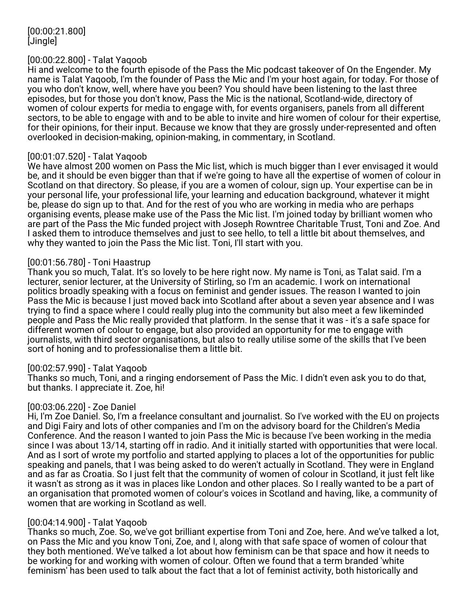[00:00:21.800] [Jingle]

#### [00:00:22.800] - Talat Yaqoob

Hi and welcome to the fourth episode of the Pass the Mic podcast takeover of On the Engender. My name is Talat Yaqoob, I'm the founder of Pass the Mic and I'm your host again, for today. For those of you who don't know, well, where have you been? You should have been listening to the last three episodes, but for those you don't know, Pass the Mic is the national, Scotland-wide, directory of women of colour experts for media to engage with, for events organisers, panels from all different sectors, to be able to engage with and to be able to invite and hire women of colour for their expertise, for their opinions, for their input. Because we know that they are grossly under-represented and often overlooked in decision-making, opinion-making, in commentary, in Scotland.

#### [00:01:07.520] - Talat Yaqoob

We have almost 200 women on Pass the Mic list, which is much bigger than I ever envisaged it would be, and it should be even bigger than that if we're going to have all the expertise of women of colour in Scotland on that directory. So please, if you are a women of colour, sign up. Your expertise can be in your personal life, your professional life, your learning and education background, whatever it might be, please do sign up to that. And for the rest of you who are working in media who are perhaps organising events, please make use of the Pass the Mic list. I'm joined today by brilliant women who are part of the Pass the Mic funded project with Joseph Rowntree Charitable Trust, Toni and Zoe. And I asked them to introduce themselves and just to see hello, to tell a little bit about themselves, and why they wanted to join the Pass the Mic list. Toni, I'll start with you.

#### [00:01:56.780] - Toni Haastrup

Thank you so much, Talat. It's so lovely to be here right now. My name is Toni, as Talat said. I'm a lecturer, senior lecturer, at the University of Stirling, so I'm an academic. I work on international politics broadly speaking with a focus on feminist and gender issues. The reason I wanted to join Pass the Mic is because I just moved back into Scotland after about a seven year absence and I was trying to find a space where I could really plug into the community but also meet a few likeminded people and Pass the Mic really provided that platform. In the sense that it was - it's a safe space for different women of colour to engage, but also provided an opportunity for me to engage with journalists, with third sector organisations, but also to really utilise some of the skills that I've been sort of honing and to professionalise them a little bit.

#### [00:02:57.990] - Talat Yaqoob

Thanks so much, Toni, and a ringing endorsement of Pass the Mic. I didn't even ask you to do that, but thanks. I appreciate it. Zoe, hi!

#### [00:03:06.220] - Zoe Daniel

Hi, I'm Zoe Daniel. So, I'm a freelance consultant and journalist. So I've worked with the EU on projects and Digi Fairy and lots of other companies and I'm on the advisory board for the Children's Media Conference. And the reason I wanted to join Pass the Mic is because I've been working in the media since I was about 13/14, starting off in radio. And it initially started with opportunities that were local. And as I sort of wrote my portfolio and started applying to places a lot of the opportunities for public speaking and panels, that I was being asked to do weren't actually in Scotland. They were in England and as far as Croatia. So I just felt that the community of women of colour in Scotland, it just felt like it wasn't as strong as it was in places like London and other places. So I really wanted to be a part of an organisation that promoted women of colour's voices in Scotland and having, like, a community of women that are working in Scotland as well.

#### [00:04:14.900] - Talat Yaqoob

Thanks so much, Zoe. So, we've got brilliant expertise from Toni and Zoe, here. And we've talked a lot, on Pass the Mic and you know Toni, Zoe, and I, along with that safe space of women of colour that they both mentioned. We've talked a lot about how feminism can be that space and how it needs to be working for and working with women of colour. Often we found that a term branded 'white feminism' has been used to talk about the fact that a lot of feminist activity, both historically and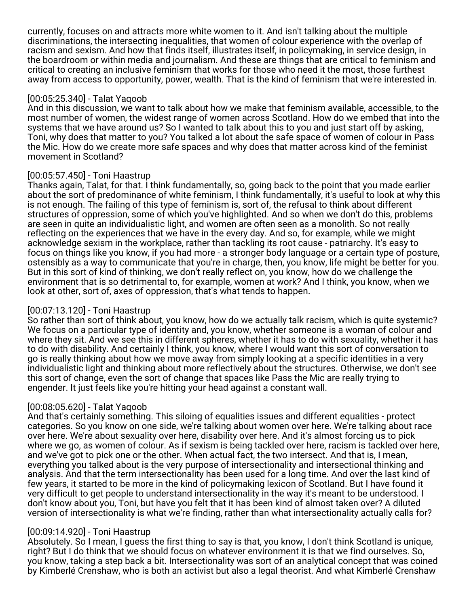currently, focuses on and attracts more white women to it. And isn't talking about the multiple discriminations, the intersecting inequalities, that women of colour experience with the overlap of racism and sexism. And how that finds itself, illustrates itself, in policymaking, in service design, in the boardroom or within media and journalism. And these are things that are critical to feminism and critical to creating an inclusive feminism that works for those who need it the most, those furthest away from access to opportunity, power, wealth. That is the kind of feminism that we're interested in.

### [00:05:25.340] - Talat Yaqoob

And in this discussion, we want to talk about how we make that feminism available, accessible, to the most number of women, the widest range of women across Scotland. How do we embed that into the systems that we have around us? So I wanted to talk about this to you and just start off by asking, Toni, why does that matter to you? You talked a lot about the safe space of women of colour in Pass the Mic. How do we create more safe spaces and why does that matter across kind of the feminist movement in Scotland?

## [00:05:57.450] - Toni Haastrup

Thanks again, Talat, for that. I think fundamentally, so, going back to the point that you made earlier about the sort of predominance of white feminism, I think fundamentally, it's useful to look at why this is not enough. The failing of this type of feminism is, sort of, the refusal to think about different structures of oppression, some of which you've highlighted. And so when we don't do this, problems are seen in quite an individualistic light, and women are often seen as a monolith. So not really reflecting on the experiences that we have in the every day. And so, for example, while we might acknowledge sexism in the workplace, rather than tackling its root cause - patriarchy. It's easy to focus on things like you know, if you had more - a stronger body language or a certain type of posture, ostensibly as a way to communicate that you're in charge, then, you know, life might be better for you. But in this sort of kind of thinking, we don't really reflect on, you know, how do we challenge the environment that is so detrimental to, for example, women at work? And I think, you know, when we look at other, sort of, axes of oppression, that's what tends to happen.

## [00:07:13.120] - Toni Haastrup

So rather than sort of think about, you know, how do we actually talk racism, which is quite systemic? We focus on a particular type of identity and, you know, whether someone is a woman of colour and where they sit. And we see this in different spheres, whether it has to do with sexuality, whether it has to do with disability. And certainly I think, you know, where I would want this sort of conversation to go is really thinking about how we move away from simply looking at a specific identities in a very individualistic light and thinking about more reflectively about the structures. Otherwise, we don't see this sort of change, even the sort of change that spaces like Pass the Mic are really trying to engender. It just feels like you're hitting your head against a constant wall.

## [00:08:05.620] - Talat Yaqoob

And that's certainly something. This siloing of equalities issues and different equalities - protect categories. So you know on one side, we're talking about women over here. We're talking about race over here. We're about sexuality over here, disability over here. And it's almost forcing us to pick where we go, as women of colour. As if sexism is being tackled over here, racism is tackled over here, and we've got to pick one or the other. When actual fact, the two intersect. And that is, I mean, everything you talked about is the very purpose of intersectionality and intersectional thinking and analysis. And that the term intersectionality has been used for a long time. And over the last kind of few years, it started to be more in the kind of policymaking lexicon of Scotland. But I have found it very difficult to get people to understand intersectionality in the way it's meant to be understood. I don't know about you, Toni, but have you felt that it has been kind of almost taken over? A diluted version of intersectionality is what we're finding, rather than what intersectionality actually calls for?

## [00:09:14.920] - Toni Haastrup

Absolutely. So I mean, I guess the first thing to say is that, you know, I don't think Scotland is unique, right? But I do think that we should focus on whatever environment it is that we find ourselves. So, you know, taking a step back a bit. Intersectionality was sort of an analytical concept that was coined by Kimberlé Crenshaw, who is both an activist but also a legal theorist. And what Kimberlé Crenshaw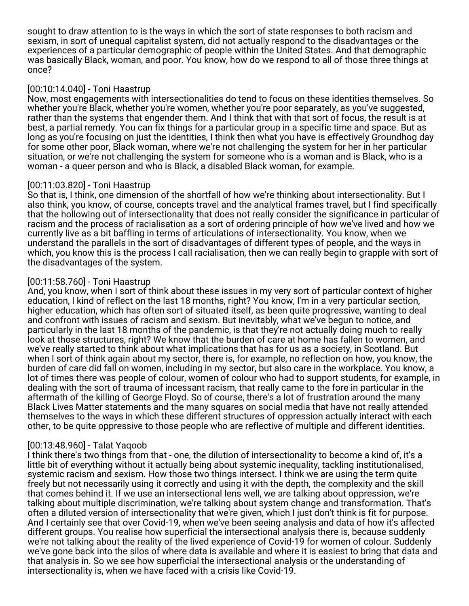sought to draw attention to is the ways in which the sort of state responses to both racism and sexism, in sort of unequal capitalist system, did not actually respond to the disadvantages or the experiences of a particular demographic of people within the United States. And that demographic was basically Black, woman, and poor. You know, how do we respond to all of those three things at once?

## [00:10:14.040] - Toni Haastrup

Now, most engagements with intersectionalities do tend to focus on these identities themselves. So whether you're Black, whether you're women, whether you're poor separately, as you've suggested, rather than the systems that engender them. And I think that with that sort of focus, the result is at best, a partial remedy. You can fix things for a particular group in a specific time and space. But as long as you're focusing on just the identities, I think then what you have is effectively Groundhog day for some other poor, Black woman, where we're not challenging the system for her in her particular situation, or we're not challenging the system for someone who is a woman and is Black, who is a woman - a queer person and who is Black, a disabled Black woman, for example.

# [00:11:03.820] - Toni Haastrup

So that is, I think, one dimension of the shortfall of how we're thinking about intersectionality. But I also think, you know, of course, concepts travel and the analytical frames travel, but I find specifically that the hollowing out of intersectionality that does not really consider the significance in particular of racism and the process of racialisation as a sort of ordering principle of how we've lived and how we currently live as a bit baffling in terms of articulations of intersectionality. You know, when we understand the parallels in the sort of disadvantages of different types of people, and the ways in which, you know this is the process I call racialisation, then we can really begin to grapple with sort of the disadvantages of the system.

# [00:11:58.760] - Toni Haastrup

And, you know, when I sort of think about these issues in my very sort of particular context of higher education, I kind of reflect on the last 18 months, right? You know, I'm in a very particular section, higher education, which has often sort of situated itself, as been quite progressive, wanting to deal and confront with issues of racism and sexism. But inevitably, what we've begun to notice, and particularly in the last 18 months of the pandemic, is that they're not actually doing much to really look at those structures, right? We know that the burden of care at home has fallen to women, and we've really started to think about what implications that has for us as a society, in Scotland. But when I sort of think again about my sector, there is, for example, no reflection on how, you know, the burden of care did fall on women, including in my sector, but also care in the workplace. You know, a lot of times there was people of colour, women of colour who had to support students, for example, in dealing with the sort of trauma of incessant racism, that really came to the fore in particular in the aftermath of the killing of George Floyd. So of course, there's a lot of frustration around the many Black Lives Matter statements and the many squares on social media that have not really attended themselves to the ways in which these different structures of oppression actually interact with each other, to be quite oppressive to those people who are reflective of multiple and different identities.

# [00:13:48.960] - Talat Yaqoob

I think there's two things from that - one, the dilution of intersectionality to become a kind of, it's a little bit of everything without it actually being about systemic inequality, tackling institutionalised, systemic racism and sexism. How those two things intersect. I think we are using the term quite freely but not necessarily using it correctly and using it with the depth, the complexity and the skill that comes behind it. If we use an intersectional lens well, we are talking about oppression, we're talking about multiple discrimination, we're talking about system change and transformation. That's often a diluted version of intersectionality that we're given, which I just don't think is fit for purpose. And I certainly see that over Covid-19, when we've been seeing analysis and data of how it's affected different groups. You realise how superficial the intersectional analysis there is, because suddenly we're not talking about the reality of the lived experience of Covid-19 for women of colour. Suddenly we've gone back into the silos of where data is available and where it is easiest to bring that data and that analysis in. So we see how superficial the intersectional analysis or the understanding of intersectionality is, when we have faced with a crisis like Covid-19.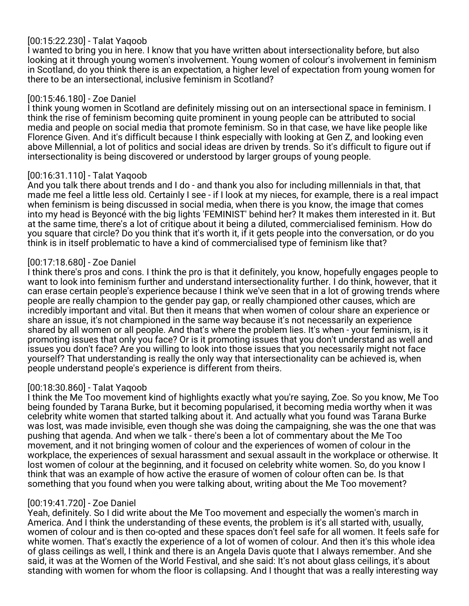# [00:15:22.230] - Talat Yaqoob

I wanted to bring you in here. I know that you have written about intersectionality before, but also looking at it through young women's involvement. Young women of colour's involvement in feminism in Scotland, do you think there is an expectation, a higher level of expectation from young women for there to be an intersectional, inclusive feminism in Scotland?

## [00:15:46.180] - Zoe Daniel

I think young women in Scotland are definitely missing out on an intersectional space in feminism. I think the rise of feminism becoming quite prominent in young people can be attributed to social media and people on social media that promote feminism. So in that case, we have like people like Florence Given. And it's difficult because I think especially with looking at Gen Z, and looking even above Millennial, a lot of politics and social ideas are driven by trends. So it's difficult to figure out if intersectionality is being discovered or understood by larger groups of young people.

# [00:16:31.110] - Talat Yaqoob

And you talk there about trends and I do - and thank you also for including millennials in that, that made me feel a little less old. Certainly I see - if I look at my nieces, for example, there is a real impact when feminism is being discussed in social media, when there is you know, the image that comes into my head is Beyoncé with the big lights 'FEMINIST' behind her? It makes them interested in it. But at the same time, there's a lot of critique about it being a diluted, commercialised feminism. How do you square that circle? Do you think that it's worth it, if it gets people into the conversation, or do you think is in itself problematic to have a kind of commercialised type of feminism like that?

# [00:17:18.680] - Zoe Daniel

I think there's pros and cons. I think the pro is that it definitely, you know, hopefully engages people to want to look into feminism further and understand intersectionality further. I do think, however, that it can erase certain people's experience because I think we've seen that in a lot of growing trends where people are really champion to the gender pay gap, or really championed other causes, which are incredibly important and vital. But then it means that when women of colour share an experience or share an issue, it's not championed in the same way because it's not necessarily an experience shared by all women or all people. And that's where the problem lies. It's when - your feminism, is it promoting issues that only you face? Or is it promoting issues that you don't understand as well and issues you don't face? Are you willing to look into those issues that you necessarily might not face yourself? That understanding is really the only way that intersectionality can be achieved is, when people understand people's experience is different from theirs.

## [00:18:30.860] - Talat Yaqoob

I think the Me Too movement kind of highlights exactly what you're saying, Zoe. So you know, Me Too being founded by Tarana Burke, but it becoming popularised, it becoming media worthy when it was celebrity white women that started talking about it. And actually what you found was Tarana Burke was lost, was made invisible, even though she was doing the campaigning, she was the one that was pushing that agenda. And when we talk - there's been a lot of commentary about the Me Too movement, and it not bringing women of colour and the experiences of women of colour in the workplace, the experiences of sexual harassment and sexual assault in the workplace or otherwise. It lost women of colour at the beginning, and it focused on celebrity white women. So, do you know I think that was an example of how active the erasure of women of colour often can be. Is that something that you found when you were talking about, writing about the Me Too movement?

## [00:19:41.720] - Zoe Daniel

Yeah, definitely. So I did write about the Me Too movement and especially the women's march in America. And I think the understanding of these events, the problem is it's all started with, usually, women of colour and is then co-opted and these spaces don't feel safe for all women. It feels safe for white women. That's exactly the experience of a lot of women of colour. And then it's this whole idea of glass ceilings as well, I think and there is an Angela Davis quote that I always remember. And she said, it was at the Women of the World Festival, and she said: It's not about glass ceilings, it's about standing with women for whom the floor is collapsing. And I thought that was a really interesting way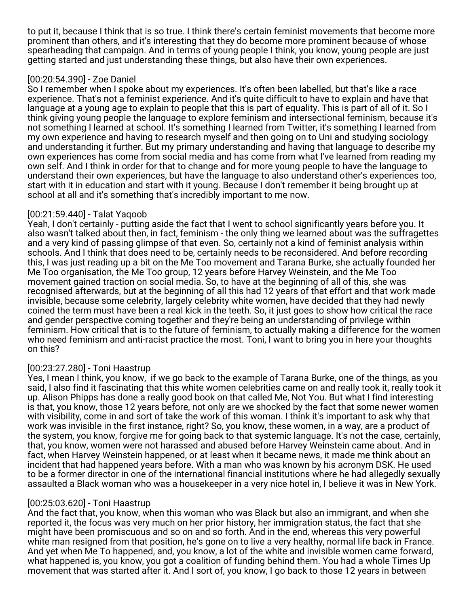to put it, because I think that is so true. I think there's certain feminist movements that become more prominent than others, and it's interesting that they do become more prominent because of whose spearheading that campaign. And in terms of young people I think, you know, young people are just getting started and just understanding these things, but also have their own experiences.

# [00:20:54.390] - Zoe Daniel

So I remember when I spoke about my experiences. It's often been labelled, but that's like a race experience. That's not a feminist experience. And it's quite difficult to have to explain and have that language at a young age to explain to people that this is part of equality. This is part of all of it. So I think giving young people the language to explore feminism and intersectional feminism, because it's not something I learned at school. It's something I learned from Twitter, it's something I learned from my own experience and having to research myself and then going on to Uni and studying sociology and understanding it further. But my primary understanding and having that language to describe my own experiences has come from social media and has come from what I've learned from reading my own self. And I think in order for that to change and for more young people to have the language to understand their own experiences, but have the language to also understand other's experiences too, start with it in education and start with it young. Because I don't remember it being brought up at school at all and it's something that's incredibly important to me now.

## [00:21:59.440] - Talat Yaqoob

Yeah, I don't certainly - putting aside the fact that I went to school significantly years before you. It also wasn't talked about then, in fact, feminism - the only thing we learned about was the suffragettes and a very kind of passing glimpse of that even. So, certainly not a kind of feminist analysis within schools. And I think that does need to be, certainly needs to be reconsidered. And before recording this, I was just reading up a bit on the Me Too movement and Tarana Burke, she actually founded her Me Too organisation, the Me Too group, 12 years before Harvey Weinstein, and the Me Too movement gained traction on social media. So, to have at the beginning of all of this, she was recognised afterwards, but at the beginning of all this had 12 years of that effort and that work made invisible, because some celebrity, largely celebrity white women, have decided that they had newly coined the term must have been a real kick in the teeth. So, it just goes to show how critical the race and gender perspective coming together and they're being an understanding of privilege within feminism. How critical that is to the future of feminism, to actually making a difference for the women who need feminism and anti-racist practice the most. Toni, I want to bring you in here your thoughts on this?

## [00:23:27.280] - Toni Haastrup

Yes, I mean I think, you know, if we go back to the example of Tarana Burke, one of the things, as you said, I also find it fascinating that this white women celebrities came on and really took it, really took it up. Alison Phipps has done a really good book on that called Me, Not You. But what I find interesting is that, you know, those 12 years before, not only are we shocked by the fact that some newer women with visibility, come in and sort of take the work of this woman. I think it's important to ask why that work was invisible in the first instance, right? So, you know, these women, in a way, are a product of the system, you know, forgive me for going back to that systemic language. It's not the case, certainly, that, you know, women were not harassed and abused before Harvey Weinstein came about. And in fact, when Harvey Weinstein happened, or at least when it became news, it made me think about an incident that had happened years before. With a man who was known by his acronym DSK. He used to be a former director in one of the international financial institutions where he had allegedly sexually assaulted a Black woman who was a housekeeper in a very nice hotel in, I believe it was in New York.

## [00:25:03.620] - Toni Haastrup

And the fact that, you know, when this woman who was Black but also an immigrant, and when she reported it, the focus was very much on her prior history, her immigration status, the fact that she might have been promiscuous and so on and so forth. And in the end, whereas this very powerful white man resigned from that position, he's gone on to live a very healthy, normal life back in France. And yet when Me To happened, and, you know, a lot of the white and invisible women came forward, what happened is, you know, you got a coalition of funding behind them. You had a whole Times Up movement that was started after it. And I sort of, you know, I go back to those 12 years in between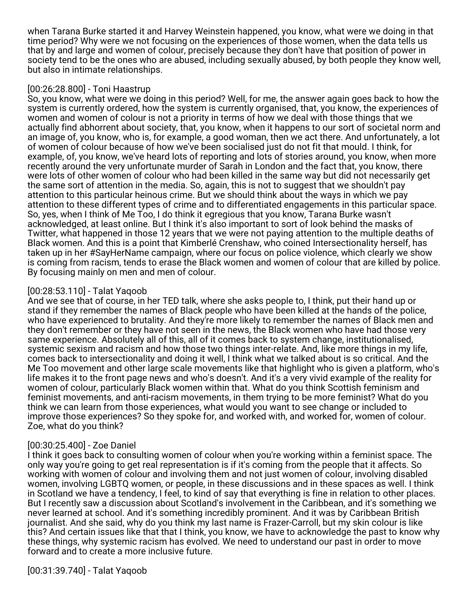when Tarana Burke started it and Harvey Weinstein happened, you know, what were we doing in that time period? Why were we not focusing on the experiences of those women, when the data tells us that by and large and women of colour, precisely because they don't have that position of power in society tend to be the ones who are abused, including sexually abused, by both people they know well, but also in intimate relationships.

### [00:26:28.800] - Toni Haastrup

So, you know, what were we doing in this period? Well, for me, the answer again goes back to how the system is currently ordered, how the system is currently organised, that, you know, the experiences of women and women of colour is not a priority in terms of how we deal with those things that we actually find abhorrent about society, that, you know, when it happens to our sort of societal norm and an image of, you know, who is, for example, a good woman, then we act there. And unfortunately, a lot of women of colour because of how we've been socialised just do not fit that mould. I think, for example, of, you know, we've heard lots of reporting and lots of stories around, you know, when more recently around the very unfortunate murder of Sarah in London and the fact that, you know, there were lots of other women of colour who had been killed in the same way but did not necessarily get the same sort of attention in the media. So, again, this is not to suggest that we shouldn't pay attention to this particular heinous crime. But we should think about the ways in which we pay attention to these different types of crime and to differentiated engagements in this particular space. So, yes, when I think of Me Too, I do think it egregious that you know, Tarana Burke wasn't acknowledged, at least online. But I think it's also important to sort of look behind the masks of Twitter, what happened in those 12 years that we were not paying attention to the multiple deaths of Black women. And this is a point that Kimberlé Crenshaw, who coined Intersectionality herself, has taken up in her #SayHerName campaign, where our focus on police violence, which clearly we show is coming from racism, tends to erase the Black women and women of colour that are killed by police. By focusing mainly on men and men of colour.

## [00:28:53.110] - Talat Yaqoob

And we see that of course, in her TED talk, where she asks people to, I think, put their hand up or stand if they remember the names of Black people who have been killed at the hands of the police, who have experienced to brutality. And they're more likely to remember the names of Black men and they don't remember or they have not seen in the news, the Black women who have had those very same experience. Absolutely all of this, all of it comes back to system change, institutionalised, systemic sexism and racism and how those two things inter-relate. And, like more things in my life, comes back to intersectionality and doing it well, I think what we talked about is so critical. And the Me Too movement and other large scale movements like that highlight who is given a platform, who's life makes it to the front page news and who's doesn't. And it's a very vivid example of the reality for women of colour, particularly Black women within that. What do you think Scottish feminism and feminist movements, and anti-racism movements, in them trying to be more feminist? What do you think we can learn from those experiences, what would you want to see change or included to improve those experiences? So they spoke for, and worked with, and worked for, women of colour. Zoe, what do you think?

# [00:30:25.400] - Zoe Daniel

I think it goes back to consulting women of colour when you're working within a feminist space. The only way you're going to get real representation is if it's coming from the people that it affects. So working with women of colour and involving them and not just women of colour, involving disabled women, involving LGBTQ women, or people, in these discussions and in these spaces as well. I think in Scotland we have a tendency, I feel, to kind of say that everything is fine in relation to other places. But I recently saw a discussion about Scotland's involvement in the Caribbean, and it's something we never learned at school. And it's something incredibly prominent. And it was by Caribbean British journalist. And she said, why do you think my last name is Frazer-Carroll, but my skin colour is like this? And certain issues like that that I think, you know, we have to acknowledge the past to know why these things, why systemic racism has evolved. We need to understand our past in order to move forward and to create a more inclusive future.

[00:31:39.740] - Talat Yaqoob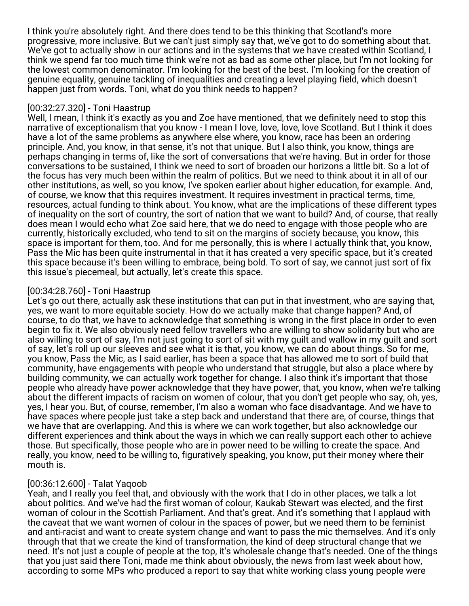I think you're absolutely right. And there does tend to be this thinking that Scotland's more progressive, more inclusive. But we can't just simply say that, we've got to do something about that. We've got to actually show in our actions and in the systems that we have created within Scotland, I think we spend far too much time think we're not as bad as some other place, but I'm not looking for the lowest common denominator. I'm looking for the best of the best. I'm looking for the creation of genuine equality, genuine tackling of inequalities and creating a level playing field, which doesn't happen just from words. Toni, what do you think needs to happen?

## [00:32:27.320] - Toni Haastrup

Well, I mean, I think it's exactly as you and Zoe have mentioned, that we definitely need to stop this narrative of exceptionalism that you know - I mean I love, love, love, love Scotland. But I think it does have a lot of the same problems as anywhere else where, you know, race has been an ordering principle. And, you know, in that sense, it's not that unique. But I also think, you know, things are perhaps changing in terms of, like the sort of conversations that we're having. But in order for those conversations to be sustained, I think we need to sort of broaden our horizons a little bit. So a lot of the focus has very much been within the realm of politics. But we need to think about it in all of our other institutions, as well, so you know, I've spoken earlier about higher education, for example. And, of course, we know that this requires investment. It requires investment in practical terms, time, resources, actual funding to think about. You know, what are the implications of these different types of inequality on the sort of country, the sort of nation that we want to build? And, of course, that really does mean I would echo what Zoe said here, that we do need to engage with those people who are currently, historically excluded, who tend to sit on the margins of society because, you know, this space is important for them, too. And for me personally, this is where I actually think that, you know, Pass the Mic has been quite instrumental in that it has created a very specific space, but it's created this space because it's been willing to embrace, being bold. To sort of say, we cannot just sort of fix this issue's piecemeal, but actually, let's create this space.

### [00:34:28.760] - Toni Haastrup

Let's go out there, actually ask these institutions that can put in that investment, who are saying that, yes, we want to more equitable society. How do we actually make that change happen? And, of course, to do that, we have to acknowledge that something is wrong in the first place in order to even begin to fix it. We also obviously need fellow travellers who are willing to show solidarity but who are also willing to sort of say, I'm not just going to sort of sit with my guilt and wallow in my guilt and sort of say, let's roll up our sleeves and see what it is that, you know, we can do about things. So for me, you know, Pass the Mic, as I said earlier, has been a space that has allowed me to sort of build that community, have engagements with people who understand that struggle, but also a place where by building community, we can actually work together for change. I also think it's important that those people who already have power acknowledge that they have power, that, you know, when we're talking about the different impacts of racism on women of colour, that you don't get people who say, oh, yes, yes, I hear you. But, of course, remember, I'm also a woman who face disadvantage. And we have to have spaces where people just take a step back and understand that there are, of course, things that we have that are overlapping. And this is where we can work together, but also acknowledge our different experiences and think about the ways in which we can really support each other to achieve those. But specifically, those people who are in power need to be willing to create the space. And really, you know, need to be willing to, figuratively speaking, you know, put their money where their mouth is.

## [00:36:12.600] - Talat Yaqoob

Yeah, and I really you feel that, and obviously with the work that I do in other places, we talk a lot about politics. And we've had the first woman of colour, Kaukab Stewart was elected, and the first woman of colour in the Scottish Parliament. And that's great. And it's something that I applaud with the caveat that we want women of colour in the spaces of power, but we need them to be feminist and anti-racist and want to create system change and want to pass the mic themselves. And it's only through that that we create the kind of transformation, the kind of deep structural change that we need. It's not just a couple of people at the top, it's wholesale change that's needed. One of the things that you just said there Toni, made me think about obviously, the news from last week about how, according to some MPs who produced a report to say that white working class young people were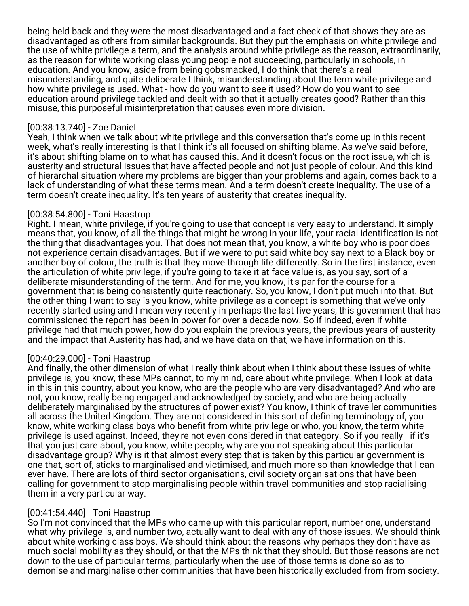being held back and they were the most disadvantaged and a fact check of that shows they are as disadvantaged as others from similar backgrounds. But they put the emphasis on white privilege and the use of white privilege a term, and the analysis around white privilege as the reason, extraordinarily, as the reason for white working class young people not succeeding, particularly in schools, in education. And you know, aside from being gobsmacked, I do think that there's a real misunderstanding, and quite deliberate I think, misunderstanding about the term white privilege and how white privilege is used. What - how do you want to see it used? How do you want to see education around privilege tackled and dealt with so that it actually creates good? Rather than this misuse, this purposeful misinterpretation that causes even more division.

### [00:38:13.740] - Zoe Daniel

Yeah, I think when we talk about white privilege and this conversation that's come up in this recent week, what's really interesting is that I think it's all focused on shifting blame. As we've said before, it's about shifting blame on to what has caused this. And it doesn't focus on the root issue, which is austerity and structural issues that have affected people and not just people of colour. And this kind of hierarchal situation where my problems are bigger than your problems and again, comes back to a lack of understanding of what these terms mean. And a term doesn't create inequality. The use of a term doesn't create inequality. It's ten years of austerity that creates inequality.

### [00:38:54.800] - Toni Haastrup

Right. I mean, white privilege, if you're going to use that concept is very easy to understand. It simply means that, you know, of all the things that might be wrong in your life, your racial identification is not the thing that disadvantages you. That does not mean that, you know, a white boy who is poor does not experience certain disadvantages. But if we were to put said white boy say next to a Black boy or another boy of colour, the truth is that they move through life differently. So in the first instance, even the articulation of white privilege, if you're going to take it at face value is, as you say, sort of a deliberate misunderstanding of the term. And for me, you know, it's par for the course for a government that is being consistently quite reactionary. So, you know, I don't put much into that. But the other thing I want to say is you know, white privilege as a concept is something that we've only recently started using and I mean very recently in perhaps the last five years, this government that has commissioned the report has been in power for over a decade now. So if indeed, even if white privilege had that much power, how do you explain the previous years, the previous years of austerity and the impact that Austerity has had, and we have data on that, we have information on this.

## [00:40:29.000] - Toni Haastrup

And finally, the other dimension of what I really think about when I think about these issues of white privilege is, you know, these MPs cannot, to my mind, care about white privilege. When I look at data in this in this country, about you know, who are the people who are very disadvantaged? And who are not, you know, really being engaged and acknowledged by society, and who are being actually deliberately marginalised by the structures of power exist? You know, I think of traveller communities all across the United Kingdom. They are not considered in this sort of defining terminology of, you know, white working class boys who benefit from white privilege or who, you know, the term white privilege is used against. Indeed, they're not even considered in that category. So if you really - if it's that you just care about, you know, white people, why are you not speaking about this particular disadvantage group? Why is it that almost every step that is taken by this particular government is one that, sort of, sticks to marginalised and victimised, and much more so than knowledge that I can ever have. There are lots of third sector organisations, civil society organisations that have been calling for government to stop marginalising people within travel communities and stop racialising them in a very particular way.

## [00:41:54.440] - Toni Haastrup

So I'm not convinced that the MPs who came up with this particular report, number one, understand what why privilege is, and number two, actually want to deal with any of those issues. We should think about white working class boys. We should think about the reasons why perhaps they don't have as much social mobility as they should, or that the MPs think that they should. But those reasons are not down to the use of particular terms, particularly when the use of those terms is done so as to demonise and marginalise other communities that have been historically excluded from from society.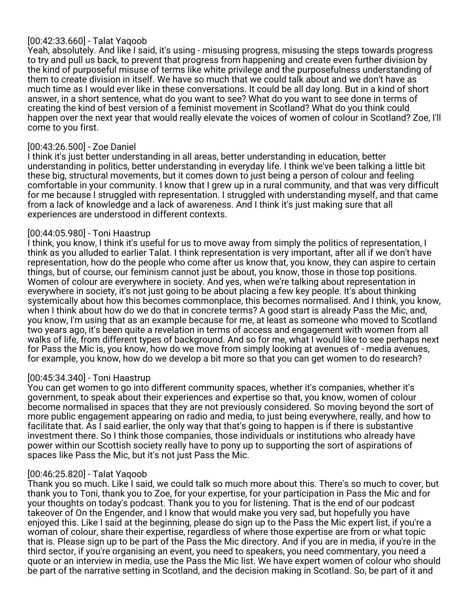## [00:42:33.660] - Talat Yaqoob

Yeah, absolutely. And like I said, it's using - misusing progress, misusing the steps towards progress to try and pull us back, to prevent that progress from happening and create even further division by the kind of purposeful misuse of terms like white privilege and the purposefulness understanding of them to create division in itself. We have so much that we could talk about and we don't have as much time as I would ever like in these conversations. It could be all day long. But in a kind of short answer, in a short sentence, what do you want to see? What do you want to see done in terms of creating the kind of best version of a feminist movement in Scotland? What do you think could happen over the next year that would really elevate the voices of women of colour in Scotland? Zoe, I'll come to you first.

## [00:43:26.500] - Zoe Daniel

I think it's just better understanding in all areas, better understanding in education, better understanding in politics, better understanding in everyday life. I think we've been talking a little bit these big, structural movements, but it comes down to just being a person of colour and feeling comfortable in your community. I know that I grew up in a rural community, and that was very difficult for me because I struggled with representation. I struggled with understanding myself, and that came from a lack of knowledge and a lack of awareness. And I think it's just making sure that all experiences are understood in different contexts.

## [00:44:05.980] - Toni Haastrup

I think, you know, I think it's useful for us to move away from simply the politics of representation, I think as you alluded to earlier Talat. I think representation is very important, after all if we don't have representation, how do the people who come after us know that, you know, they can aspire to certain things, but of course, our feminism cannot just be about, you know, those in those top positions. Women of colour are everywhere in society. And yes, when we're talking about representation in everywhere in society, it's not just going to be about placing a few key people. It's about thinking systemically about how this becomes commonplace, this becomes normalised. And I think, you know, when I think about how do we do that in concrete terms? A good start is already Pass the Mic, and, you know, I'm using that as an example because for me, at least as someone who moved to Scotland two years ago, it's been quite a revelation in terms of access and engagement with women from all walks of life, from different types of background. And so for me, what I would like to see perhaps next for Pass the Mic is, you know, how do we move from simply looking at avenues of - media avenues, for example, you know, how do we develop a bit more so that you can get women to do research?

## [00:45:34.340] - Toni Haastrup

You can get women to go into different community spaces, whether it's companies, whether it's government, to speak about their experiences and expertise so that, you know, women of colour become normalised in spaces that they are not previously considered. So moving beyond the sort of more public engagement appearing on radio and media, to just being everywhere, really, and how to facilitate that. As I said earlier, the only way that that's going to happen is if there is substantive investment there. So I think those companies, those individuals or institutions who already have power within our Scottish society really have to pony up to supporting the sort of aspirations of spaces like Pass the Mic, but it's not just Pass the Mic.

## [00:46:25.820] - Talat Yaqoob

Thank you so much. Like I said, we could talk so much more about this. There's so much to cover, but thank you to Toni, thank you to Zoe, for your expertise, for your participation in Pass the Mic and for your thoughts on today's podcast. Thank you to you for listening. That is the end of our podcast takeover of On the Engender, and I know that would make you very sad, but hopefully you have enjoyed this. Like I said at the beginning, please do sign up to the Pass the Mic expert list, if you're a woman of colour, share their expertise, regardless of where those expertise are from or what topic that is. Please sign up to be part of the Pass the Mic directory. And if you are in media, if you're in the third sector, if you're organising an event, you need to speakers, you need commentary, you need a quote or an interview in media, use the Pass the Mic list. We have expert women of colour who should be part of the narrative setting in Scotland, and the decision making in Scotland. So, be part of it and